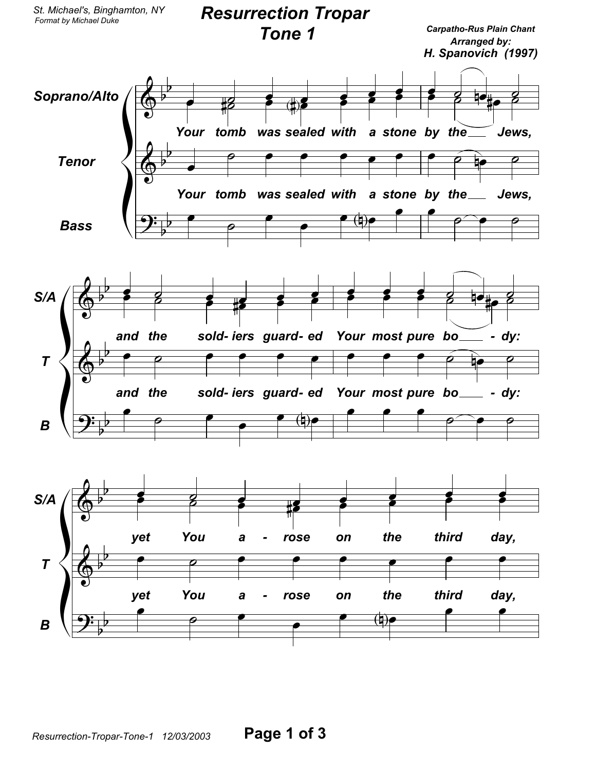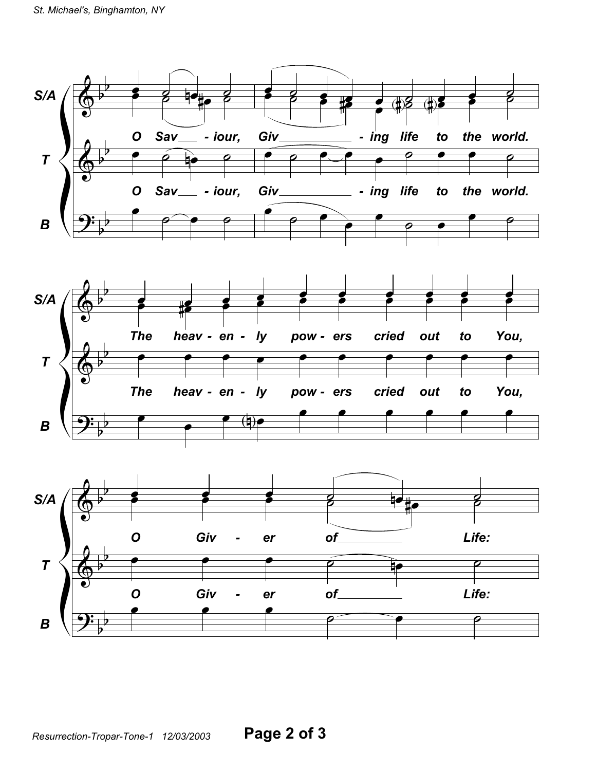